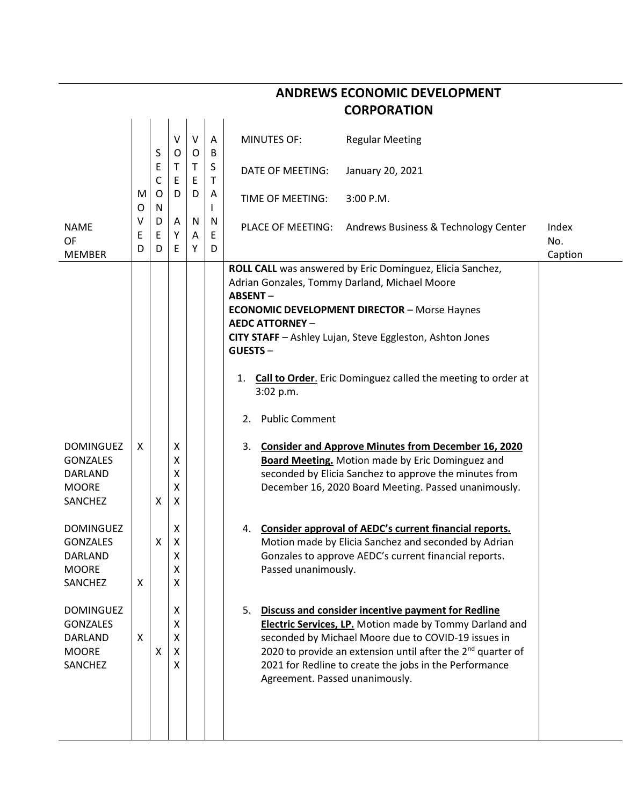| <b>CORPORATION</b>                                                               |             |                      |                       |             |             |                                                                                                                                                               |                                                                                                                                                                                                                                                                                                                     |                         |  |  |
|----------------------------------------------------------------------------------|-------------|----------------------|-----------------------|-------------|-------------|---------------------------------------------------------------------------------------------------------------------------------------------------------------|---------------------------------------------------------------------------------------------------------------------------------------------------------------------------------------------------------------------------------------------------------------------------------------------------------------------|-------------------------|--|--|
|                                                                                  |             | S                    | ٧<br>O                | $\vee$<br>O | A<br>B      | <b>MINUTES OF:</b>                                                                                                                                            | <b>Regular Meeting</b>                                                                                                                                                                                                                                                                                              |                         |  |  |
|                                                                                  |             | E<br>C               | Τ<br>Ε                | T<br>Ε      | S<br>т      | DATE OF MEETING:                                                                                                                                              | January 20, 2021                                                                                                                                                                                                                                                                                                    |                         |  |  |
|                                                                                  | M<br>O      | $\circ$<br>${\sf N}$ | D                     | D           | A<br>L      | TIME OF MEETING:                                                                                                                                              | 3:00 P.M.                                                                                                                                                                                                                                                                                                           |                         |  |  |
| <b>NAME</b><br>OF<br><b>MEMBER</b>                                               | ۷<br>Ε<br>D | D<br>Е<br>D          | Α<br>Υ<br>E           | N<br>A<br>Υ | N<br>Е<br>D | PLACE OF MEETING:                                                                                                                                             | Andrews Business & Technology Center                                                                                                                                                                                                                                                                                | Index<br>No.<br>Caption |  |  |
|                                                                                  |             |                      |                       |             |             | Adrian Gonzales, Tommy Darland, Michael Moore<br><b>ABSENT-</b><br><b>AEDC ATTORNEY -</b><br><b>GUESTS-</b><br>1.<br>3:02 p.m.<br><b>Public Comment</b><br>2. | ROLL CALL was answered by Eric Dominguez, Elicia Sanchez,<br><b>ECONOMIC DEVELOPMENT DIRECTOR - Morse Haynes</b><br>CITY STAFF - Ashley Lujan, Steve Eggleston, Ashton Jones<br>Call to Order. Eric Dominguez called the meeting to order at                                                                        |                         |  |  |
| <b>DOMINGUEZ</b><br><b>GONZALES</b><br>DARLAND<br><b>MOORE</b><br>SANCHEZ        | X           | X                    | X<br>Χ<br>х<br>x<br>X |             |             | 3.                                                                                                                                                            | <b>Consider and Approve Minutes from December 16, 2020</b><br><b>Board Meeting.</b> Motion made by Eric Dominguez and<br>seconded by Elicia Sanchez to approve the minutes from<br>December 16, 2020 Board Meeting. Passed unanimously.                                                                             |                         |  |  |
| <b>DOMINGUEZ</b><br><b>GONZALES</b><br><b>DARLAND</b><br><b>MOORE</b><br>SANCHEZ | X           | Χ                    | х<br>Χ<br>Χ<br>χ<br>X |             |             | 4.<br>Passed unanimously.                                                                                                                                     | Consider approval of AEDC's current financial reports.<br>Motion made by Elicia Sanchez and seconded by Adrian<br>Gonzales to approve AEDC's current financial reports.                                                                                                                                             |                         |  |  |
| <b>DOMINGUEZ</b><br><b>GONZALES</b><br><b>DARLAND</b><br><b>MOORE</b><br>SANCHEZ | X           | X                    | X<br>X<br>X<br>x<br>X |             |             | Agreement. Passed unanimously.                                                                                                                                | 5. Discuss and consider incentive payment for Redline<br><b>Electric Services, LP.</b> Motion made by Tommy Darland and<br>seconded by Michael Moore due to COVID-19 issues in<br>2020 to provide an extension until after the 2 <sup>nd</sup> quarter of<br>2021 for Redline to create the jobs in the Performance |                         |  |  |

## **ANDREWS ECONOMIC DEVELOPMENT**